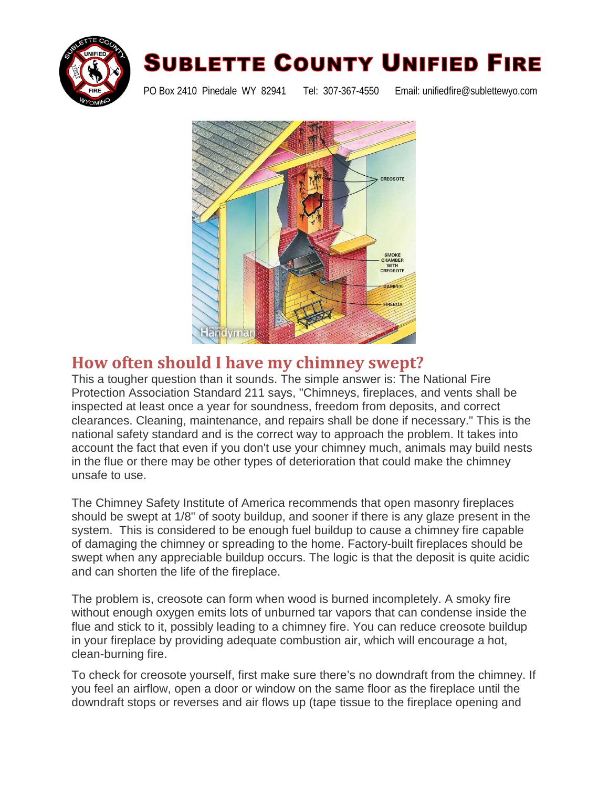

## **SUBLETTE COUNTY UNIFIED FIRE**

PO Box 2410 Pinedale WY 82941 Tel: 307-367-4550 Email: unifiedfire@sublettewyo.com



## **How often should I have my chimney swept?**

This a tougher question than it sounds. The simple answer is: The National Fire Protection Association Standard 211 says, "Chimneys, fireplaces, and vents shall be inspected at least once a year for soundness, freedom from deposits, and correct clearances. Cleaning, maintenance, and repairs shall be done if necessary." This is the national safety standard and is the correct way to approach the problem. It takes into account the fact that even if you don't use your chimney much, animals may build nests in the flue or there may be other types of deterioration that could make the chimney unsafe to use.

The Chimney Safety Institute of America recommends that open masonry fireplaces should be swept at 1/8" of sooty buildup, and sooner if there is any glaze present in the system. This is considered to be enough fuel buildup to cause a chimney fire capable of damaging the chimney or spreading to the home. Factory-built fireplaces should be swept when any appreciable buildup occurs. The logic is that the deposit is quite acidic and can shorten the life of the fireplace.

The problem is, creosote can form when wood is burned incompletely. A smoky fire without enough oxygen emits lots of unburned tar vapors that can condense inside the flue and stick to it, possibly leading to a chimney fire. You can reduce creosote buildup in [your fireplace](http://www.familyhandyman.com/cleaning/when-to-clean-a-chimney-flue/view-all) by providing adequate combustion air, which will encourage a hot, clean-burning fire.

To check for creosote yourself, first make sure there's no downdraft from the chimney. If you feel an airflow, open a door or window on the same floor as the fireplace until the downdraft stops or reverses and air flows up (tape tissue to the fireplace opening and